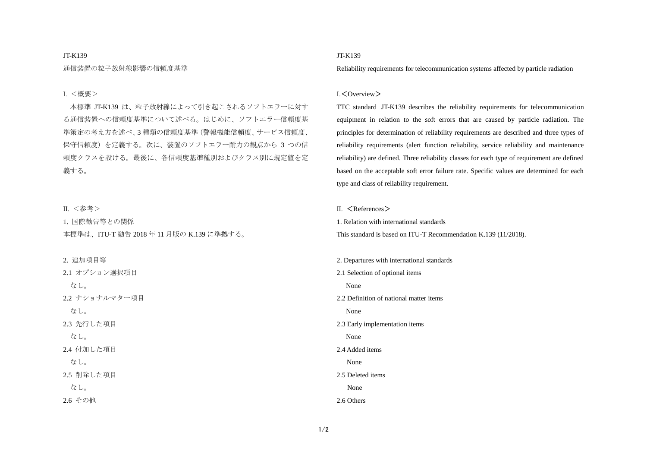### JT-K139

通信装置の粒子放射線影響の信頼度基準

### Ⅰ. <概要>

本標準 JT-K139 は、粒子放射線によって引き起こされるソフトエラーに対す る通信装置への信頼度基準について述べる。はじめに、ソフトエラー信頼度基 準策定の考え方を述べ、3 種類の信頼度基準(警報機能信頼度、サービス信頼度、 保守信頼度)を定義する。次に、装置のソフトエラー耐力の観点から 3 つの信 頼度クラスを設ける。最後に、各信頼度基準種別およびクラス別に規定値を定 義する。

Ⅱ. <参考>

1. 国際勧告等との関係 本標準は、ITU-T 勧告 2018 年 11 月版の K.139 に準拠する。

#### 2. 追加項目等

2.1 オプション選択項目 なし。 2.2 ナショナルマター項目 なし。 2.3 先行した項目 なし。 2.4 付加した項目 なし。 2.5 削除した項目 なし。 2.6 その他

## JT-K139

Reliability requirements for telecommunication systems affected by particle radiation

### Ⅰ.<Overview>

TTC standard JT-K139 describes the reliability requirements for telecommunication equipment in relation to the soft errors that are caused by particle radiation. The principles for determination of reliability requirements are described and three types of reliability requirements (alert function reliability, service reliability and maintenance reliability) are defined. Three reliability classes for each type of requirement are defined based on the acceptable soft error failure rate. Specific values are determined for each type and class of reliability requirement.

Ⅱ. <References>

1. Relation with international standards This standard is based on ITU-T Recommendation K.139 (11/2018).

2. Departures with international standards 2.1 Selection of optional items None 2.2 Definition of national matter items None 2.3 Early implementation items None 2.4 Added items None 2.5 Deleted items None 2.6 Others